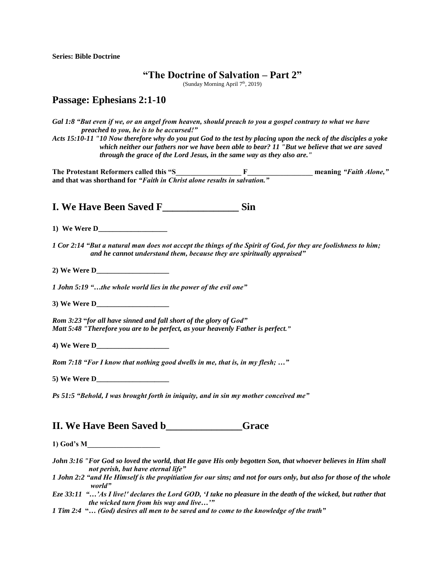**Series: Bible Doctrine**

## **"The Doctrine of Salvation – Part 2"**

(Sunday Morning April 7th, 2019)

## **Passage: Ephesians 2:1-10**

*Gal 1:8 "But even if we, or an angel from heaven, should preach to you a gospel contrary to what we have preached to you, he is to be accursed!"* 

*Acts 15:10-11 "10 Now therefore why do you put God to the test by placing upon the neck of the disciples a yoke which neither our fathers nor we have been able to bear? 11 "But we believe that we are saved through the grace of the Lord Jesus, in the same way as they also are."* 

**The Protestant Reformers called this "S\_\_\_\_\_\_\_\_\_\_\_\_\_\_\_\_\_\_ F\_\_\_\_\_\_\_\_\_\_\_\_\_\_\_\_\_\_ meaning** *"Faith Alone,"* **and that was shorthand for** *"Faith in Christ alone results in salvation."*

**I. We Have Been Saved F\_\_\_\_\_\_\_\_\_\_\_\_\_\_\_ Sin**

**1) We Were D\_\_\_\_\_\_\_\_\_\_\_\_\_\_\_\_\_\_\_**

*1 Cor 2:14 "But a natural man does not accept the things of the Spirit of God, for they are foolishness to him; and he cannot understand them, because they are spiritually appraised"* 

**2) We Were D\_\_\_\_\_\_\_\_\_\_\_\_\_\_\_\_\_\_\_\_**

*1 John 5:19 "…the whole world lies in the power of the evil one"* 

**3) We Were D\_\_\_\_\_\_\_\_\_\_\_\_\_\_\_\_\_\_\_\_**

*Rom 3:23* **"***for all have sinned and fall short of the glory of God" Matt 5:48 "Therefore you are to be perfect, as your heavenly Father is perfect."* 

**4) We Were D\_\_\_\_\_\_\_\_\_\_\_\_\_\_\_\_\_\_\_\_**

*Rom 7:18 "For I know that nothing good dwells in me, that is, in my flesh; …"*

**5) We Were D\_\_\_\_\_\_\_\_\_\_\_\_\_\_\_\_\_\_\_\_**

*Ps 51:5 "Behold, I was brought forth in iniquity, and in sin my mother conceived me"*

## **II. We Have Been Saved b Grace**

**1) God's M\_\_\_\_\_\_\_\_\_\_\_\_\_\_\_\_\_\_\_\_**

- *John 3:16 "For God so loved the world, that He gave His only begotten Son, that whoever believes in Him shall not perish, but have eternal life"*
- *1 John 2:2 "and He Himself is the propitiation for our sins; and not for ours only, but also for those of the whole world"*
- *Eze 33:11 "…'As I live!' declares the Lord GOD, 'I take no pleasure in the death of the wicked, but rather that the wicked turn from his way and live…'"*
- *1 Tim 2:4* **"***… (God) desires all men to be saved and to come to the knowledge of the truth"*